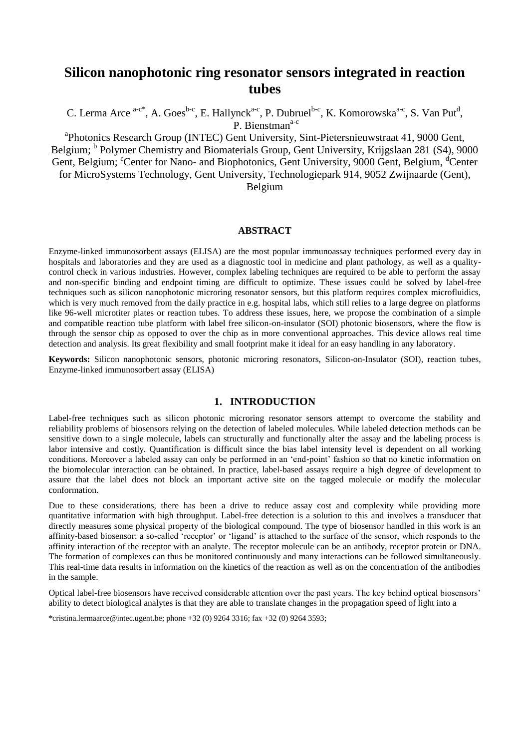# **Silicon nanophotonic ring resonator sensors integrated in reaction tubes**

C. Lerma Arce <sup>a-c\*</sup>, A. Goes<sup>b-c</sup>, E. Hallynck<sup>a-c</sup>, P. Dubruel<sup>b-c</sup>, K. Komorowska<sup>a-c</sup>, S. Van Put<sup>d</sup>, P. Bienstman<sup>a-c</sup>

<sup>a</sup>Photonics Research Group (INTEC) Gent University, Sint-Pietersnieuwstraat 41, 9000 Gent, Belgium; <sup>b</sup> Polymer Chemistry and Biomaterials Group, Gent University, Krijgslaan 281 (S4), 9000 Gent, Belgium; <sup>c</sup>Center for Nano- and Biophotonics, Gent University, 9000 Gent, Belgium, <sup>d</sup>Center for MicroSystems Technology, Gent University, Technologiepark 914, 9052 Zwijnaarde (Gent), Belgium

#### **ABSTRACT**

Enzyme-linked immunosorbent assays (ELISA) are the most popular immunoassay techniques performed every day in hospitals and laboratories and they are used as a diagnostic tool in medicine and plant pathology, as well as a qualitycontrol check in various industries. However, complex labeling techniques are required to be able to perform the assay and non-specific binding and endpoint timing are difficult to optimize. These issues could be solved by label-free techniques such as silicon nanophotonic microring resonator sensors, but this platform requires complex microfluidics, which is very much removed from the daily practice in e.g. hospital labs, which still relies to a large degree on platforms like 96-well microtiter plates or reaction tubes. To address these issues, here, we propose the combination of a simple and compatible reaction tube platform with label free silicon-on-insulator (SOI) photonic biosensors, where the flow is through the sensor chip as opposed to over the chip as in more conventional approaches. This device allows real time detection and analysis. Its great flexibility and small footprint make it ideal for an easy handling in any laboratory.

**Keywords:** Silicon nanophotonic sensors, photonic microring resonators, Silicon-on-Insulator (SOI), reaction tubes, Enzyme-linked immunosorbert assay (ELISA)

#### **1. INTRODUCTION**

Label-free techniques such as silicon photonic microring resonator sensors attempt to overcome the stability and reliability problems of biosensors relying on the detection of labeled molecules. While labeled detection methods can be sensitive down to a single molecule, labels can structurally and functionally alter the assay and the labeling process is labor intensive and costly. Quantification is difficult since the bias label intensity level is dependent on all working conditions. Moreover a labeled assay can only be performed in an 'end-point' fashion so that no kinetic information on the biomolecular interaction can be obtained. In practice, label-based assays require a high degree of development to assure that the label does not block an important active site on the tagged molecule or modify the molecular conformation.

Due to these considerations, there has been a drive to reduce assay cost and complexity while providing more quantitative information with high throughput. Label-free detection is a solution to this and involves a transducer that directly measures some physical property of the biological compound. The type of biosensor handled in this work is an affinity-based biosensor: a so-called 'receptor' or 'ligand' is attached to the surface of the sensor, which responds to the affinity interaction of the receptor with an analyte. The receptor molecule can be an antibody, receptor protein or DNA. The formation of complexes can thus be monitored continuously and many interactions can be followed simultaneously. This real-time data results in information on the kinetics of the reaction as well as on the concentration of the antibodies in the sample.

Optical label-free biosensors have received considerable attention over the past years. The key behind optical biosensors' ability to detect biological analytes is that they are able to translate changes in the propagation speed of light into a

\*cristina.lermaarce@intec.ugent.be; phone +32 (0) 9264 3316; fax +32 (0) 9264 3593;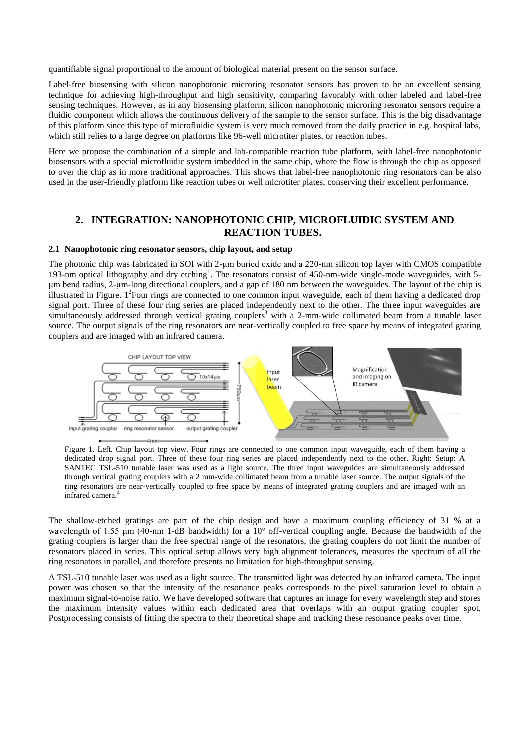quantifiable signal proportional to the amount of biological material present on the sensor surface.

Label-free biosensing with silicon nanophotonic microring resonator sensors has proven to be an excellent sensing technique for achieving high-throughput and high sensitivity, comparing favorably with other labeled and label-free sensing techniques. However, as in any biosensing platform, silicon nanophotonic microring resonator sensors require a fluidic component which allows the continuous delivery of the sample to the sensor surface. This is the big disadvantage of this platform since this type of microfluidic system is very much removed from the daily practice in e.g. hospital labs, which still relies to a large degree on platforms like 96-well microtiter plates, or reaction tubes.

Here we propose the combination of a simple and lab-compatible reaction tube platform, with label-free nanophotonic biosensors with a special microfluidic system imbedded in the same chip, where the flow is through the chip as opposed to over the chip as in more traditional approaches. This shows that label-free nanophotonic ring resonators can be also used in the user-friendly platform like reaction tubes or well microtiter plates, conserving their excellent performance.

# **2. INTEGRATION: NANOPHOTONIC CHIP, MICROFLUIDIC SYSTEM AND REACTION TUBES.**

## **2.1 Nanophotonic ring resonator sensors, chip layout, and setup**

The photonic chip was fabricated in SOI with 2-μm buried oxide and a 220-nm silicon top layer with CMOS compatible 193-nm optical lithography and dry etching<sup>1</sup>. The resonators consist of 450-nm-wide single-mode waveguides, with 5μm bend radius, 2-μm-long directional couplers, and a gap of 180 nm between the waveguides. The layout of the chip is illustrated in Figure. 1<sup>2</sup>Four rings are connected to one common input waveguide, each of them having a dedicated drop signal port. Three of these four ring series are placed independently next to the other. The three input waveguides are simultaneously addressed through vertical grating couplers<sup>3</sup> with a 2-mm-wide collimated beam from a tunable laser source. The output signals of the ring resonators are near-vertically coupled to free space by means of integrated grating couplers and are imaged with an infrared camera.



Figure 1. Left. Chip layout top view. Four rings are connected to one common input waveguide, each of them having a dedicated drop signal port. Three of these four ring series are placed independently next to the other. Right: Setup: A SANTEC TSL-510 tunable laser was used as a light source. The three input waveguides are simultaneously addressed through vertical grating couplers with a 2 mm-wide collimated beam from a tunable laser source. The output signals of the ring resonators are near-vertically coupled to free space by means of integrated grating couplers and are imaged with an infrared camera.<sup>4</sup>

The shallow-etched gratings are part of the chip design and have a maximum coupling efficiency of 31 % at a wavelength of 1.55 μm (40-nm 1-dB bandwidth) for a 10° off-vertical coupling angle. Because the bandwidth of the grating couplers is larger than the free spectral range of the resonators, the grating couplers do not limit the number of resonators placed in series. This optical setup allows very high alignment tolerances, measures the spectrum of all the ring resonators in parallel, and therefore presents no limitation for high-throughput sensing.

A TSL-510 tunable laser was used as a light source. The transmitted light was detected by an infrared camera. The input power was chosen so that the intensity of the resonance peaks corresponds to the pixel saturation level to obtain a maximum signal-to-noise ratio. We have developed software that captures an image for every wavelength step and stores the maximum intensity values within each dedicated area that overlaps with an output grating coupler spot. Postprocessing consists of fitting the spectra to their theoretical shape and tracking these resonance peaks over time.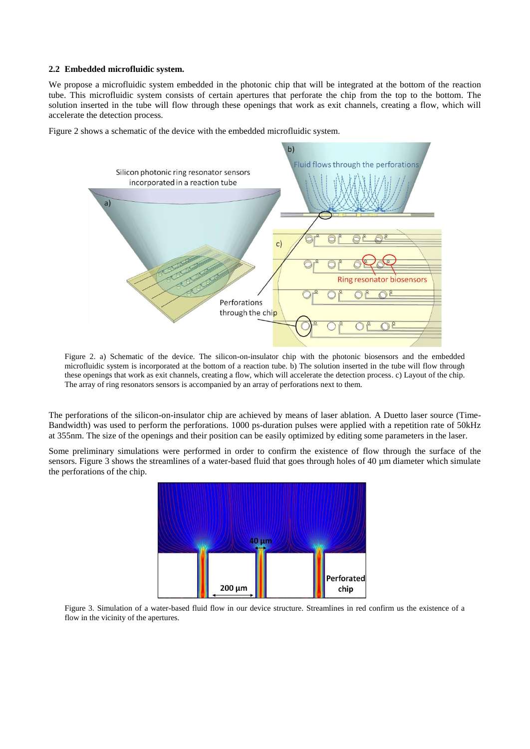#### **2.2 Embedded microfluidic system.**

We propose a microfluidic system embedded in the photonic chip that will be integrated at the bottom of the reaction tube. This microfluidic system consists of certain apertures that perforate the chip from the top to the bottom. The solution inserted in the tube will flow through these openings that work as exit channels, creating a flow, which will accelerate the detection process.



Figure 2 shows a schematic of the device with the embedded microfluidic system.

Figure 2. a) Schematic of the device. The silicon-on-insulator chip with the photonic biosensors and the embedded microfluidic system is incorporated at the bottom of a reaction tube. b) The solution inserted in the tube will flow through these openings that work as exit channels, creating a flow, which will accelerate the detection process. c) Layout of the chip. The array of ring resonators sensors is accompanied by an array of perforations next to them.

The perforations of the silicon-on-insulator chip are achieved by means of laser ablation. A Duetto laser source (Time-Bandwidth) was used to perform the perforations. 1000 ps-duration pulses were applied with a repetition rate of 50kHz at 355nm. The size of the openings and their position can be easily optimized by editing some parameters in the laser.

Some preliminary simulations were performed in order to confirm the existence of flow through the surface of the sensors. Figure 3 shows the streamlines of a water-based fluid that goes through holes of 40 µm diameter which simulate the perforations of the chip.



Figure 3. Simulation of a water-based fluid flow in our device structure. Streamlines in red confirm us the existence of a flow in the vicinity of the apertures.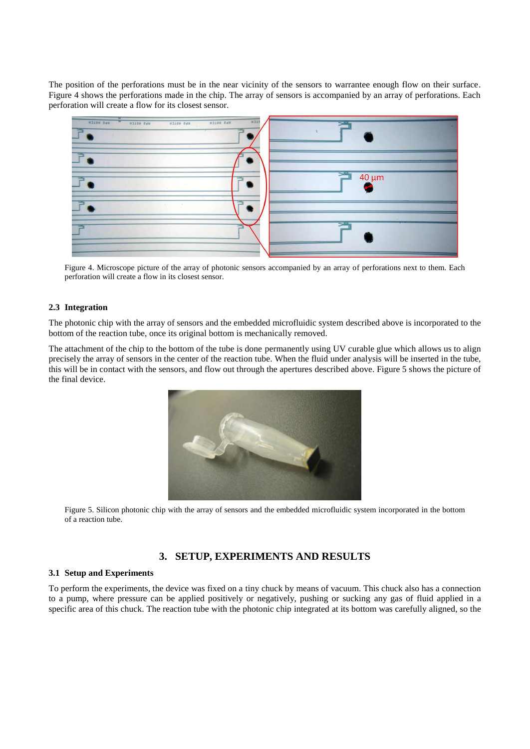The position of the perforations must be in the near vicinity of the sensors to warrantee enough flow on their surface. Figure 4 shows the perforations made in the chip. The array of sensors is accompanied by an array of perforations. Each perforation will create a flow for its closest sensor.



Figure 4. Microscope picture of the array of photonic sensors accompanied by an array of perforations next to them. Each perforation will create a flow in its closest sensor.

## **2.3 Integration**

The photonic chip with the array of sensors and the embedded microfluidic system described above is incorporated to the bottom of the reaction tube, once its original bottom is mechanically removed.

The attachment of the chip to the bottom of the tube is done permanently using UV curable glue which allows us to align precisely the array of sensors in the center of the reaction tube. When the fluid under analysis will be inserted in the tube, this will be in contact with the sensors, and flow out through the apertures described above. Figure 5 shows the picture of the final device.



Figure 5. Silicon photonic chip with the array of sensors and the embedded microfluidic system incorporated in the bottom of a reaction tube.

# **3. SETUP, EXPERIMENTS AND RESULTS**

#### **3.1 Setup and Experiments**

To perform the experiments, the device was fixed on a tiny chuck by means of vacuum. This chuck also has a connection to a pump, where pressure can be applied positively or negatively, pushing or sucking any gas of fluid applied in a specific area of this chuck. The reaction tube with the photonic chip integrated at its bottom was carefully aligned, so the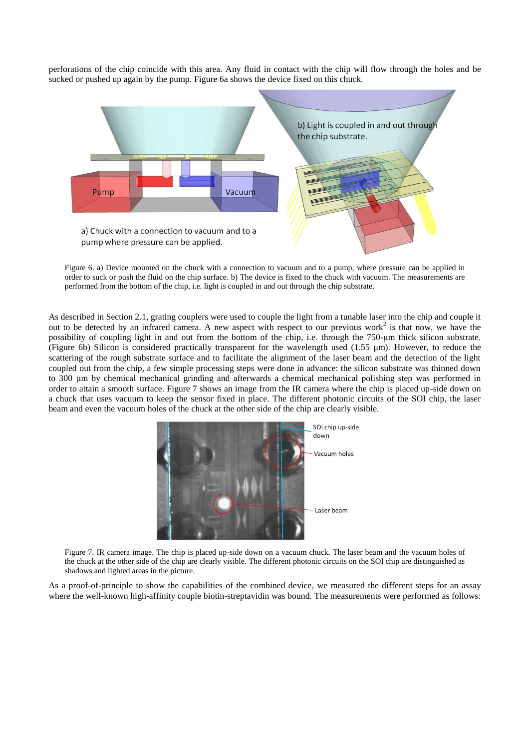perforations of the chip coincide with this area. Any fluid in contact with the chip will flow through the holes and be sucked or pushed up again by the pump. Figure 6a shows the device fixed on this chuck.



Figure 6. a) Device mounted on the chuck with a connection to vacuum and to a pump, where pressure can be applied in order to suck or push the fluid on the chip surface. b) The device is fixed to the chuck with vacuum. The measurements are performed from the bottom of the chip, i.e. light is coupled in and out through the chip substrate.

As described in Section 2.1, grating couplers were used to couple the light from a tunable laser into the chip and couple it out to be detected by an infrared camera. A new aspect with respect to our previous work<sup>2</sup> is that now, we have the possibility of coupling light in and out from the bottom of the chip, i.e. through the 750-μm thick silicon substrate. (Figure 6b) Silicon is considered practically transparent for the wavelength used (1.55 μm). However, to reduce the scattering of the rough substrate surface and to facilitate the alignment of the laser beam and the detection of the light coupled out from the chip, a few simple processing steps were done in advance: the silicon substrate was thinned down to 300 µm by chemical mechanical grinding and afterwards a chemical mechanical polishing step was performed in order to attain a smooth surface. Figure 7 shows an image from the IR camera where the chip is placed up-side down on a chuck that uses vacuum to keep the sensor fixed in place. The different photonic circuits of the SOI chip, the laser beam and even the vacuum holes of the chuck at the other side of the chip are clearly visible.

![](_page_4_Picture_4.jpeg)

Figure 7. IR camera image. The chip is placed up-side down on a vacuum chuck. The laser beam and the vacuum holes of the chuck at the other side of the chip are clearly visible. The different photonic circuits on the SOI chip are distinguished as shadows and lighted areas in the picture.

As a proof-of-principle to show the capabilities of the combined device, we measured the different steps for an assay where the well-known high-affinity couple biotin-streptavidin was bound. The measurements were performed as follows: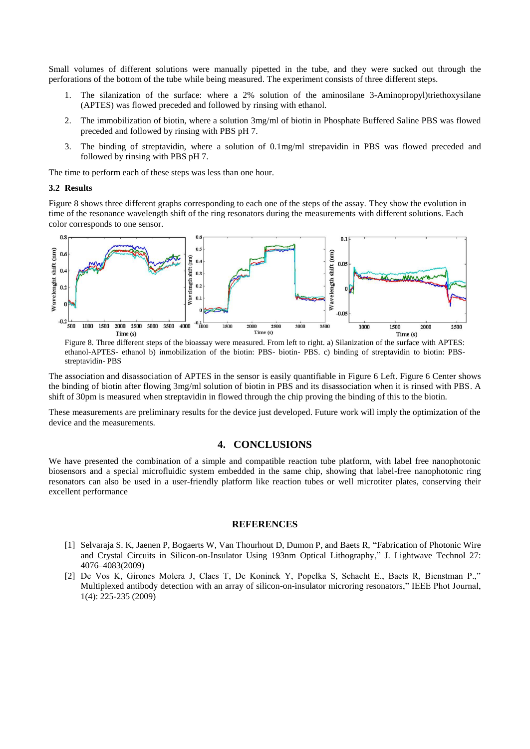Small volumes of different solutions were manually pipetted in the tube, and they were sucked out through the perforations of the bottom of the tube while being measured. The experiment consists of three different steps.

- 1. The silanization of the surface: where a 2% solution of the aminosilane 3-Aminopropyl)triethoxysilane (APTES) was flowed preceded and followed by rinsing with ethanol.
- 2. The immobilization of biotin, where a solution 3mg/ml of biotin in Phosphate Buffered Saline PBS was flowed preceded and followed by rinsing with PBS pH 7.
- 3. The binding of streptavidin, where a solution of 0.1mg/ml strepavidin in PBS was flowed preceded and followed by rinsing with PBS pH 7.

The time to perform each of these steps was less than one hour.

#### **3.2 Results**

Figure 8 shows three different graphs corresponding to each one of the steps of the assay. They show the evolution in time of the resonance wavelength shift of the ring resonators during the measurements with different solutions. Each color corresponds to one sensor.

![](_page_5_Figure_7.jpeg)

Figure 8. Three different steps of the bioassay were measured. From left to right. a) Silanization of the surface with APTES: ethanol-APTES- ethanol b) inmobilization of the biotin: PBS- biotin- PBS. c) binding of streptavidin to biotin: PBSstreptavidin- PBS

The association and disassociation of APTES in the sensor is easily quantifiable in Figure 6 Left. Figure 6 Center shows the binding of biotin after flowing 3mg/ml solution of biotin in PBS and its disassociation when it is rinsed with PBS. A shift of 30pm is measured when streptavidin in flowed through the chip proving the binding of this to the biotin.

These measurements are preliminary results for the device just developed. Future work will imply the optimization of the device and the measurements.

## **4. CONCLUSIONS**

We have presented the combination of a simple and compatible reaction tube platform, with label free nanophotonic biosensors and a special microfluidic system embedded in the same chip, showing that label-free nanophotonic ring resonators can also be used in a user-friendly platform like reaction tubes or well microtiter plates, conserving their excellent performance

#### **REFERENCES**

- [1] Selvaraja S. K, Jaenen P, Bogaerts W, Van Thourhout D, Dumon P, and Baets R, "Fabrication of Photonic Wire and Crystal Circuits in Silicon-on-Insulator Using 193nm Optical Lithography," J. Lightwave Technol 27: 4076–4083(2009)
- [2] De Vos K, Girones Molera J, Claes T, De Koninck Y, Popelka S, Schacht E., Baets R, Bienstman P.," Multiplexed antibody detection with an array of silicon-on-insulator microring resonators," IEEE Phot Journal, 1(4): 225-235 (2009)